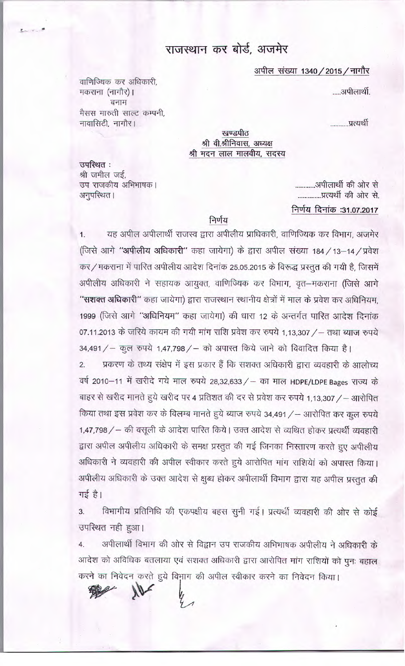# राजस्थान कर बोर्ड, अजमेर

### अपील संख्या 1340 / 2015 / नागौर

.....अपीलार्थी.

..........प्रत्यर्थी

खण्डपीठ श्री वी.श्रीनिवास, अध्यक्ष श्री मदन लाल मालवीय, सदस्य

उपस्थित: श्री जमील जई, उप राजकीय अभिभाषक। अनुपरिथत।

वाणिज्यिक कर अधिकारी,

बनाम मैसस मारुती साल्ट कम्पनी,

मकराना (नागौर)।

नावासिटी, नागौर।

---

.............अपीलार्थी की ओर से ..............प्रत्यर्थी की ओर से.

## निर्णय दिनांक :31.07.2017

### निर्णय

1. यह अपील अपीलार्थी राजस्व द्वारा अपीलीय प्राधिकारी, वाणिज्यिक कर विभाग, अजमेर (जिसे आगे "अपीलीय अधिकारी" कहा जायेगा) के द्वारा अपील संख्या 184 / 13-14 / प्रवेश कर / मकराना में पारित अपीलीय आदेश दिनांक 25.05.2015 के विरूद्ध प्रस्तुत की गयी है, जिसमें अपीलीय अधिकारी ने सहायक आयुक्त, वाणिज्यिक कर विभाग, वृत-मकराना (जिसे आगे "सशक्त अधिकारी" कहा जायेगा) द्वारा राजस्थान स्थानीय क्षेत्रों में माल के प्रवेश कर अधिनियम, 1999 (जिसे आगे "अधिनियम" कहा जायेगा) की धारा 12 के अन्तर्गत पारित आदेश दिनांक 07.11.2013 के जरिये कायम की गयी मांग राशि प्रवेश कर रुपये 1,13,307 / - तथा ब्याज रुपये

34,491 / - कुल रुपये 1,47,798 / - को अपास्त किये जाने को विवादित किया है। प्रकरण के तथ्य संक्षेप में इस प्रकार हैं कि सशक्त अधिकारी द्वारा व्यवहारी के आलोच्य  $2.$ वर्ष 2010-11 में खरीदे गये माल रुपये 28,32,633 / - का माल HDPE/LDPE Bages राज्य के बाहर से खरीद मानते हुये खरीद पर 4 प्रतिशत की दर से प्रवेश कर रुपये 1,13,307 / – आरोपित किया तथा इस प्रवेश कर के विलम्ब मानते हुये ब्याज रुपये 34,491 / - आरोपित कर कुल रुपये 1,47,798 / - की वसूली के आदेश पारित किये। उक्त आदेश से व्यथित होकर प्रत्यर्थी व्यवहारी द्वारा अपील अपीलीय अधिकारी के समक्ष प्रस्तुत की गई जिनका निस्तारण करते हुए अपीलीय अधिकारी ने व्यवहारी की अपील स्वीकार करते हुये आरोपित मांग राशियेां को अपास्त किया। अपीलीय अधिकारी के उक्त आदेश से क्षुब्ध होकर अपीलार्थी विभाग द्वारा यह अपील प्रस्तुत की गई है।

विभागीय प्रतिनिधि की एकपक्षीय बहस सुनी गई। प्रत्यर्थी व्यवहारी की ओर से कोई  $3.$ उपस्थित नही हुआ।

अपीलार्थी विभाग की ओर से विद्वान उप राजकीय अभिभाषक अपीलीय ने अधिकारी के 4. आदेश को अविधिक बतलाया एवं सशक्त अधिकारी द्वारा आरोपित मांग राशियों को पुनः बहाल करने का निवेदन करते हुये विभाग की अपील स्वीकार करने का निवेदन किया।